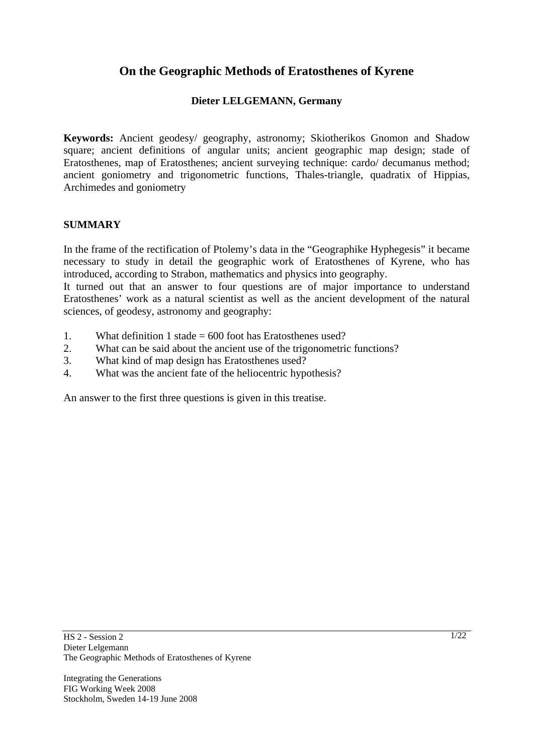# **On the Geographic Methods of Eratosthenes of Kyrene**

### **Dieter LELGEMANN, Germany**

**Keywords:** Ancient geodesy/ geography, astronomy; Skiotherikos Gnomon and Shadow square; ancient definitions of angular units; ancient geographic map design; stade of Eratosthenes, map of Eratosthenes; ancient surveying technique: cardo/ decumanus method; ancient goniometry and trigonometric functions, Thales-triangle, quadratix of Hippias, Archimedes and goniometry

#### **SUMMARY**

In the frame of the rectification of Ptolemy's data in the "Geographike Hyphegesis" it became necessary to study in detail the geographic work of Eratosthenes of Kyrene, who has introduced, according to Strabon, mathematics and physics into geography.

It turned out that an answer to four questions are of major importance to understand Eratosthenes' work as a natural scientist as well as the ancient development of the natural sciences, of geodesy, astronomy and geography:

- 1. What definition 1 stade = 600 foot has Eratosthenes used?
- 2. What can be said about the ancient use of the trigonometric functions?
- 3. What kind of map design has Eratosthenes used?
- 4. What was the ancient fate of the heliocentric hypothesis?

An answer to the first three questions is given in this treatise.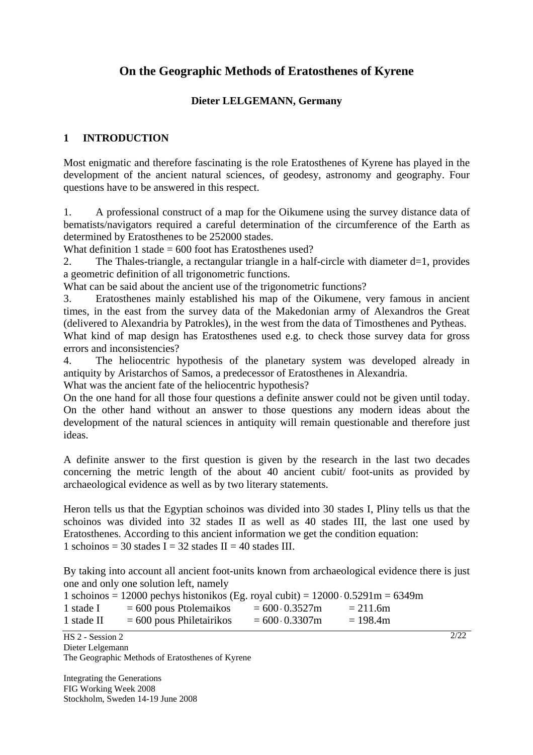# **On the Geographic Methods of Eratosthenes of Kyrene**

### **Dieter LELGEMANN, Germany**

### **1 INTRODUCTION**

Most enigmatic and therefore fascinating is the role Eratosthenes of Kyrene has played in the development of the ancient natural sciences, of geodesy, astronomy and geography. Four questions have to be answered in this respect.

1. A professional construct of a map for the Oikumene using the survey distance data of bematists/navigators required a careful determination of the circumference of the Earth as determined by Eratosthenes to be 252000 stades.

What definition 1 stade  $= 600$  foot has Eratosthenes used?

2. The Thales-triangle, a rectangular triangle in a half-circle with diameter d=1, provides a geometric definition of all trigonometric functions.

What can be said about the ancient use of the trigonometric functions?

3. Eratosthenes mainly established his map of the Oikumene, very famous in ancient times, in the east from the survey data of the Makedonian army of Alexandros the Great (delivered to Alexandria by Patrokles), in the west from the data of Timosthenes and Pytheas.

What kind of map design has Eratosthenes used e.g. to check those survey data for gross errors and inconsistencies?

4. The heliocentric hypothesis of the planetary system was developed already in antiquity by Aristarchos of Samos, a predecessor of Eratosthenes in Alexandria.

What was the ancient fate of the heliocentric hypothesis?

On the one hand for all those four questions a definite answer could not be given until today. On the other hand without an answer to those questions any modern ideas about the development of the natural sciences in antiquity will remain questionable and therefore just ideas.

A definite answer to the first question is given by the research in the last two decades concerning the metric length of the about 40 ancient cubit/ foot-units as provided by archaeological evidence as well as by two literary statements.

Heron tells us that the Egyptian schoinos was divided into 30 stades I, Pliny tells us that the schoinos was divided into 32 stades II as well as 40 stades III, the last one used by Eratosthenes. According to this ancient information we get the condition equation: 1 schoinos = 30 stades I = 32 stades II = 40 stades III.

By taking into account all ancient foot-units known from archaeological evidence there is just one and only one solution left, namely

 $2/22$ 

|            | 1 schoinos = 12000 pechys histonikos (Eg. royal cubit) = $12000 \cdot 0.5291$ m = 6349m |                        |             |
|------------|-----------------------------------------------------------------------------------------|------------------------|-------------|
| 1 stade I  | $= 600$ pous Ptolemaikos                                                                | $= 600 \cdot 0.3527$ m | $= 211.6m$  |
| 1 stade II | $= 600$ pous Philetairikos                                                              | $= 600 \cdot 0.3307$ m | $= 198.4$ m |

HS 2 - Session 2 Dieter Lelgemann The Geographic Methods of Eratosthenes of Kyrene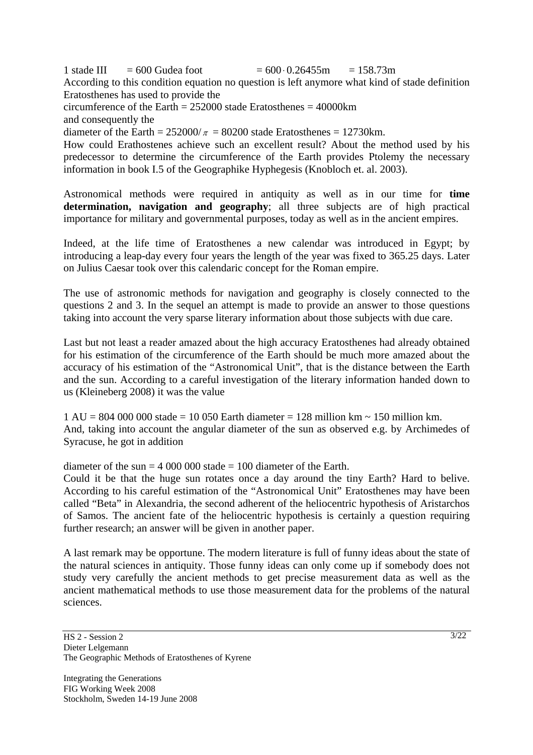1 stade III = 600 Gudea foot =  $600 \cdot 0.26455m = 158.73m$ According to this condition equation no question is left anymore what kind of stade definition Eratosthenes has used to provide the circumference of the Earth = 252000 stade Eratosthenes = 40000km

and consequently the

diameter of the Earth =  $252000/\pi$  = 80200 stade Eratosthenes = 12730km.

How could Erathostenes achieve such an excellent result? About the method used by his predecessor to determine the circumference of the Earth provides Ptolemy the necessary information in book I.5 of the Geographike Hyphegesis (Knobloch et. al. 2003).

Astronomical methods were required in antiquity as well as in our time for **time determination, navigation and geography**; all three subjects are of high practical importance for military and governmental purposes, today as well as in the ancient empires.

Indeed, at the life time of Eratosthenes a new calendar was introduced in Egypt; by introducing a leap-day every four years the length of the year was fixed to 365.25 days. Later on Julius Caesar took over this calendaric concept for the Roman empire.

The use of astronomic methods for navigation and geography is closely connected to the questions 2 and 3. In the sequel an attempt is made to provide an answer to those questions taking into account the very sparse literary information about those subjects with due care.

Last but not least a reader amazed about the high accuracy Eratosthenes had already obtained for his estimation of the circumference of the Earth should be much more amazed about the accuracy of his estimation of the "Astronomical Unit", that is the distance between the Earth and the sun. According to a careful investigation of the literary information handed down to us (Kleineberg 2008) it was the value

1 AU = 804 000 000 stade = 10 050 Earth diameter = 128 million km ~ 150 million km. And, taking into account the angular diameter of the sun as observed e.g. by Archimedes of Syracuse, he got in addition

diameter of the sun  $= 4000000$  stade  $= 100$  diameter of the Earth.

Could it be that the huge sun rotates once a day around the tiny Earth? Hard to belive. According to his careful estimation of the "Astronomical Unit" Eratosthenes may have been called "Beta" in Alexandria, the second adherent of the heliocentric hypothesis of Aristarchos of Samos. The ancient fate of the heliocentric hypothesis is certainly a question requiring further research; an answer will be given in another paper.

A last remark may be opportune. The modern literature is full of funny ideas about the state of the natural sciences in antiquity. Those funny ideas can only come up if somebody does not study very carefully the ancient methods to get precise measurement data as well as the ancient mathematical methods to use those measurement data for the problems of the natural sciences.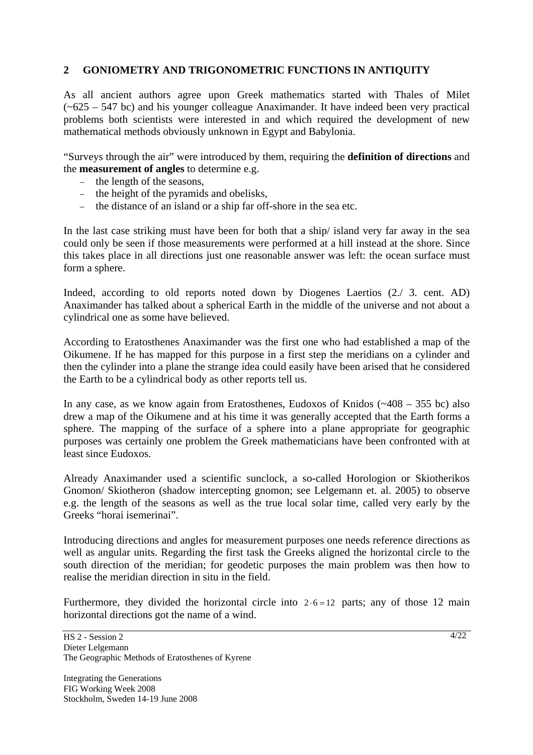#### **2 GONIOMETRY AND TRIGONOMETRIC FUNCTIONS IN ANTIQUITY**

As all ancient authors agree upon Greek mathematics started with Thales of Milet  $(-625 - 547)$  bc) and his younger colleague Anaximander. It have indeed been very practical problems both scientists were interested in and which required the development of new mathematical methods obviously unknown in Egypt and Babylonia.

"Surveys through the air" were introduced by them, requiring the **definition of directions** and the **measurement of angles** to determine e.g.

- − the length of the seasons,
- − the height of the pyramids and obelisks,
- − the distance of an island or a ship far off-shore in the sea etc.

In the last case striking must have been for both that a ship/ island very far away in the sea could only be seen if those measurements were performed at a hill instead at the shore. Since this takes place in all directions just one reasonable answer was left: the ocean surface must form a sphere.

Indeed, according to old reports noted down by Diogenes Laertios (2./ 3. cent. AD) Anaximander has talked about a spherical Earth in the middle of the universe and not about a cylindrical one as some have believed.

According to Eratosthenes Anaximander was the first one who had established a map of the Oikumene. If he has mapped for this purpose in a first step the meridians on a cylinder and then the cylinder into a plane the strange idea could easily have been arised that he considered the Earth to be a cylindrical body as other reports tell us.

In any case, as we know again from Eratosthenes, Eudoxos of Knidos  $(-408 - 355)$  bc) also drew a map of the Oikumene and at his time it was generally accepted that the Earth forms a sphere. The mapping of the surface of a sphere into a plane appropriate for geographic purposes was certainly one problem the Greek mathematicians have been confronted with at least since Eudoxos.

Already Anaximander used a scientific sunclock, a so-called Horologion or Skiotherikos Gnomon/ Skiotheron (shadow intercepting gnomon; see Lelgemann et. al. 2005) to observe e.g. the length of the seasons as well as the true local solar time, called very early by the Greeks "horai isemerinai".

Introducing directions and angles for measurement purposes one needs reference directions as well as angular units. Regarding the first task the Greeks aligned the horizontal circle to the south direction of the meridian; for geodetic purposes the main problem was then how to realise the meridian direction in situ in the field.

Furthermore, they divided the horizontal circle into  $2.6 = 12$  parts; any of those 12 main horizontal directions got the name of a wind.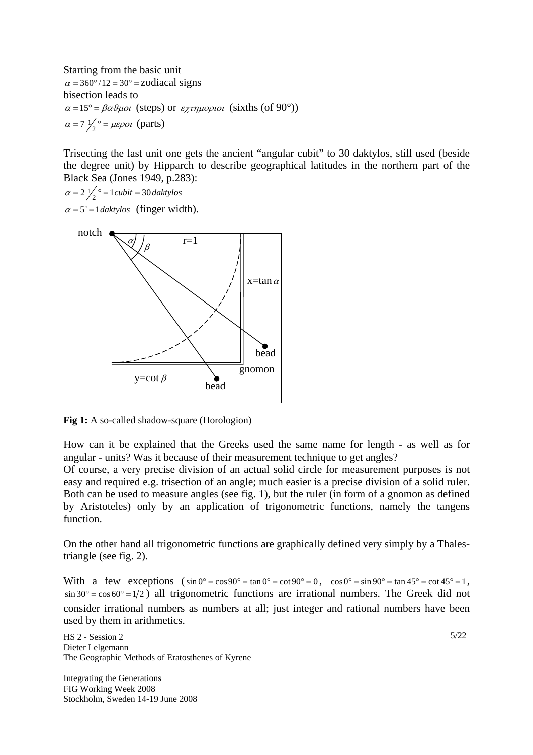Starting from the basic unit  $\alpha = 360^{\circ}/12 = 30^{\circ} =$ zodiacal signs bisection leads to  $\alpha = 15^{\circ} = \beta \alpha \theta \mu o \iota$  (steps) or  $\epsilon \chi \tau \eta \mu o \rho \iota o \iota$  (sixths (of 90°))  $\alpha = 7 \frac{1}{2}$ <sup>o</sup> =  $\mu \varepsilon \rho o \iota$  (parts)

Trisecting the last unit one gets the ancient "angular cubit" to 30 daktylos, still used (beside the degree unit) by Hipparch to describe geographical latitudes in the northern part of the Black Sea (Jones 1949, p.283):

 $\alpha = 2 \frac{1}{2} \degree = 1 \text{ cubic} = 30 \text{ dakty} \text{los}$ 

 $\alpha = 5' = 1$ *daktylos* (finger width).



**Fig 1:** A so-called shadow-square (Horologion)

How can it be explained that the Greeks used the same name for length - as well as for angular - units? Was it because of their measurement technique to get angles?

Of course, a very precise division of an actual solid circle for measurement purposes is not easy and required e.g. trisection of an angle; much easier is a precise division of a solid ruler. Both can be used to measure angles (see fig. 1), but the ruler (in form of a gnomon as defined by Aristoteles) only by an application of trigonometric functions, namely the tangens function.

On the other hand all trigonometric functions are graphically defined very simply by a Thalestriangle (see fig. 2).

With a few exceptions  $(\sin 0^\circ = \cos 90^\circ = \tan 0^\circ = \cot 90^\circ = 0$ ,  $\cos 0^\circ = \sin 90^\circ = \tan 45^\circ = \cot 45^\circ = 1$ ,  $\sin 30^\circ = \cos 60^\circ = 1/2$  all trigonometric functions are irrational numbers. The Greek did not consider irrational numbers as numbers at all; just integer and rational numbers have been used by them in arithmetics.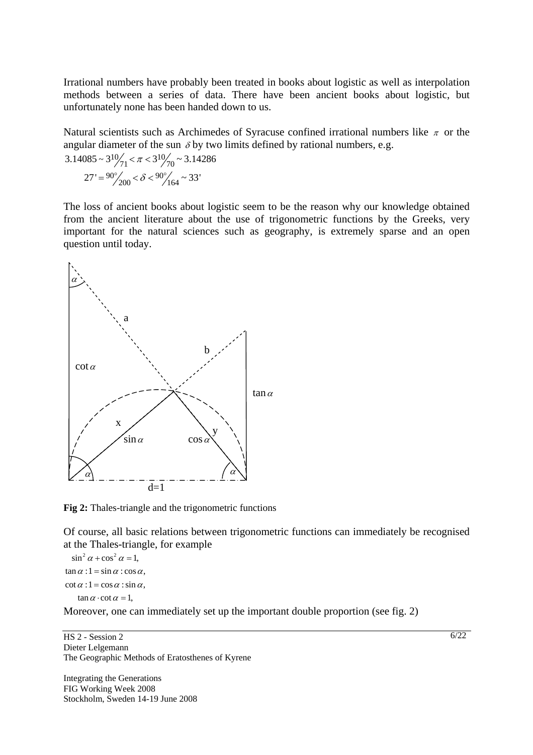Irrational numbers have probably been treated in books about logistic as well as interpolation methods between a series of data. There have been ancient books about logistic, but unfortunately none has been handed down to us.

Natural scientists such as Archimedes of Syracuse confined irrational numbers like  $\pi$  or the angular diameter of the sun  $\delta$  by two limits defined by rational numbers, e.g.

$$
3.14085 \sim 3^{10} / \frac{7}{71} < \pi < 3^{10} / \frac{7}{70} \sim 3.14286
$$

$$
27' = \frac{90^{\circ}}{200} < \delta < \frac{90^{\circ}}{164} \sim 33'
$$

The loss of ancient books about logistic seem to be the reason why our knowledge obtained from the ancient literature about the use of trigonometric functions by the Greeks, very important for the natural sciences such as geography, is extremely sparse and an open question until today.



**Fig 2:** Thales-triangle and the trigonometric functions

Of course, all basic relations between trigonometric functions can immediately be recognised at the Thales-triangle, for example

 $\tan \alpha : 1 = \sin \alpha : \cos \alpha,$  $\cot \alpha$  :  $1 = \cos \alpha$  :  $\sin \alpha$ ,  $\tan \alpha \cdot \cot \alpha = 1$ ,  $\alpha$  + cos<sup>2</sup>  $\alpha$  =

Moreover, one can immediately set up the important double proportion (see fig. 2)

HS 2 - Session 2 Dieter Lelgemann The Geographic Methods of Eratosthenes of Kyrene

Integrating the Generations FIG Working Week 2008 Stockholm, Sweden 14-19 June 2008  $6/22$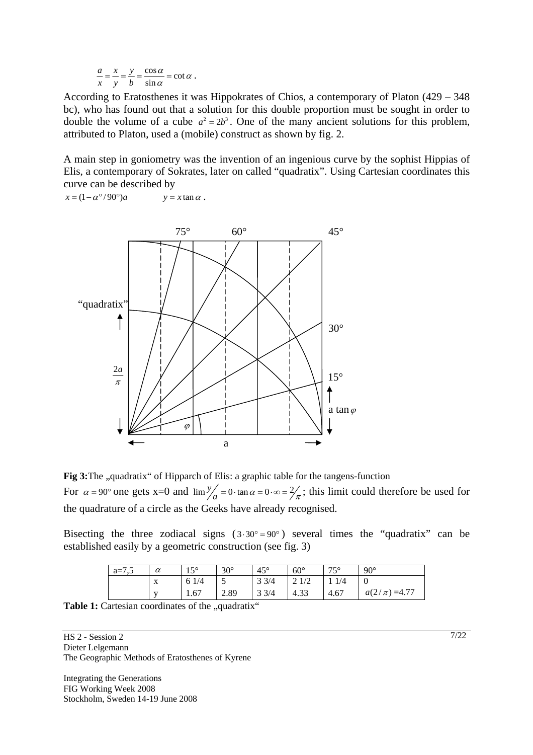$$
\frac{a}{x} = \frac{x}{y} = \frac{y}{b} = \frac{\cos \alpha}{\sin \alpha} = \cot \alpha.
$$

According to Eratosthenes it was Hippokrates of Chios, a contemporary of Platon (429 – 348 bc), who has found out that a solution for this double proportion must be sought in order to double the volume of a cube  $a^2 = 2b^3$ . One of the many ancient solutions for this problem, attributed to Platon, used a (mobile) construct as shown by fig. 2.

A main step in goniometry was the invention of an ingenious curve by the sophist Hippias of Elis, a contemporary of Sokrates, later on called "quadratix". Using Cartesian coordinates this curve can be described by

 $x = (1 - \alpha^{\circ}/90^{\circ})a$   $y = x \tan \alpha$ .



Fig 3: The "quadratix" of Hipparch of Elis: a graphic table for the tangens-function For  $\alpha = 90^\circ$  one gets x=0 and  $\lim_{a \to 0} \frac{y}{a} = 0 \cdot \tan \alpha = 0 \cdot \infty = \frac{2}{\pi}$ ; this limit could therefore be used for the quadrature of a circle as the Geeks have already recognised.

Bisecting the three zodiacal signs  $(3.30^{\circ} = 90^{\circ})$  several times the "quadratix" can be established easily by a geometric construction (see fig. 3)

| $a=7,5$ | $\alpha$                  | 150<br>⊥⊃ | $30^\circ$ | $45^{\circ}$    | $60^{\circ}$ | 750<br>$\overline{\phantom{a}}$ | $90^\circ$        |
|---------|---------------------------|-----------|------------|-----------------|--------------|---------------------------------|-------------------|
|         | $\mathbf{v}$<br>$\Lambda$ | 6         |            | $3 \frac{3}{4}$ | 21/2         | 1/4                             |                   |
|         | $\mathbf{V}$              | 1.67      | 2.89       | $3 \frac{3}{4}$ | 4.33         | 4.67                            | $a(2/\pi) = 4.77$ |

Table 1: Cartesian coordinates of the "quadratix"

HS 2 - Session 2 Dieter Lelgemann The Geographic Methods of Eratosthenes of Kyrene

Integrating the Generations FIG Working Week 2008 Stockholm, Sweden 14-19 June 2008 7/22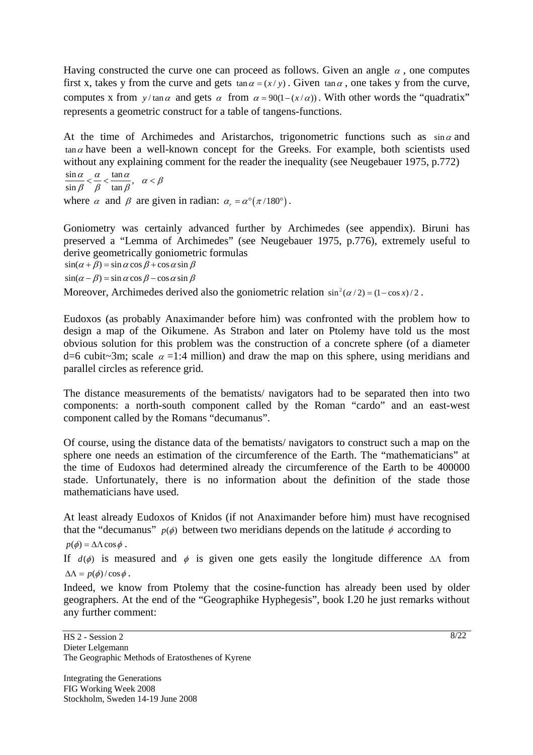Having constructed the curve one can proceed as follows. Given an angle  $\alpha$ , one computes first x, takes y from the curve and gets  $\tan \alpha = (x / y)$ . Given  $\tan \alpha$ , one takes y from the curve, computes x from *y*/tan $\alpha$  and gets  $\alpha$  from  $\alpha = 90(1 - (x/\alpha))$ . With other words the "quadratix" represents a geometric construct for a table of tangens-functions.

At the time of Archimedes and Aristarchos, trigonometric functions such as  $\sin \alpha$  and  $tan \alpha$  have been a well-known concept for the Greeks. For example, both scientists used without any explaining comment for the reader the inequality (see Neugebauer 1975, p.772)

 $\frac{\sin \alpha}{\sin \beta} < \frac{\alpha}{\beta} < \frac{\tan \alpha}{\tan \beta}, \quad \alpha < \beta$ where  $\alpha$  and  $\beta$  are given in radian:  $\alpha_r = \alpha^\circ (\pi/180^\circ)$ .

Goniometry was certainly advanced further by Archimedes (see appendix). Biruni has preserved a "Lemma of Archimedes" (see Neugebauer 1975, p.776), extremely useful to derive geometrically goniometric formulas  $\sin(\alpha + \beta) = \sin \alpha \cos \beta + \cos \alpha \sin \beta$  $\sin(\alpha - \beta) = \sin \alpha \cos \beta - \cos \alpha \sin \beta$ 

Moreover, Archimedes derived also the goniometric relation  $\sin^2(\alpha/2) = (1 - \cos x) / 2$ .

Eudoxos (as probably Anaximander before him) was confronted with the problem how to design a map of the Oikumene. As Strabon and later on Ptolemy have told us the most obvious solution for this problem was the construction of a concrete sphere (of a diameter d=6 cubit~3m; scale  $\alpha$  =1:4 million) and draw the map on this sphere, using meridians and parallel circles as reference grid.

The distance measurements of the bematists/ navigators had to be separated then into two components: a north-south component called by the Roman "cardo" and an east-west component called by the Romans "decumanus".

Of course, using the distance data of the bematists/ navigators to construct such a map on the sphere one needs an estimation of the circumference of the Earth. The "mathematicians" at the time of Eudoxos had determined already the circumference of the Earth to be 400000 stade. Unfortunately, there is no information about the definition of the stade those mathematicians have used.

At least already Eudoxos of Knidos (if not Anaximander before him) must have recognised that the "decumanus"  $p(\phi)$  between two meridians depends on the latitude  $\phi$  according to

 $p(\phi) = \Delta \Lambda \cos \phi$ .

If  $d(\phi)$  is measured and  $\phi$  is given one gets easily the longitude difference  $\Delta\Lambda$  from  $\Delta \Lambda = p(\phi) / \cos \phi$ .

Indeed, we know from Ptolemy that the cosine-function has already been used by older geographers. At the end of the "Geographike Hyphegesis", book I.20 he just remarks without any further comment: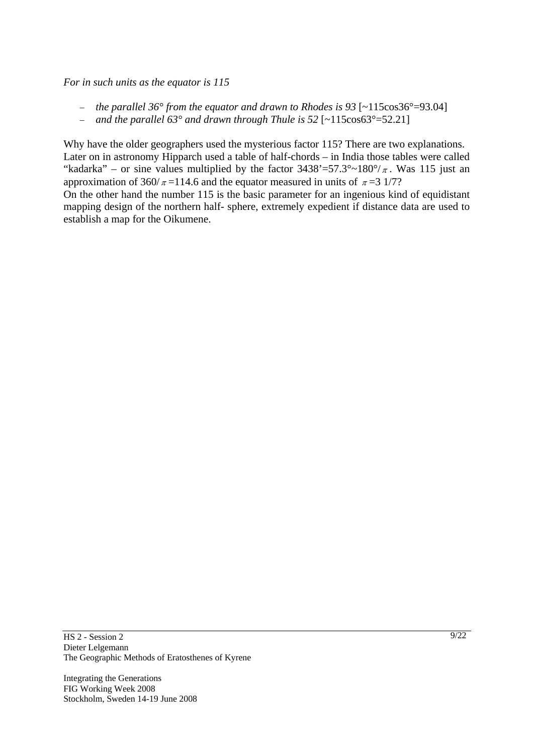*For in such units as the equator is 115* 

- − *the parallel 36° from the equator and drawn to Rhodes is 93* [~115cos36°=93.04]
- − *and the parallel 63° and drawn through Thule is 52* [~115cos63°=52.21]

Why have the older geographers used the mysterious factor 115? There are two explanations. Later on in astronomy Hipparch used a table of half-chords – in India those tables were called "kadarka" – or sine values multiplied by the factor  $3438' = 57.3^{\circ} \approx 180^{\circ}/\pi$ . Was 115 just an approximation of 360/ $\pi$  = 114.6 and the equator measured in units of  $\pi$  = 31/7?

On the other hand the number 115 is the basic parameter for an ingenious kind of equidistant mapping design of the northern half- sphere, extremely expedient if distance data are used to establish a map for the Oikumene.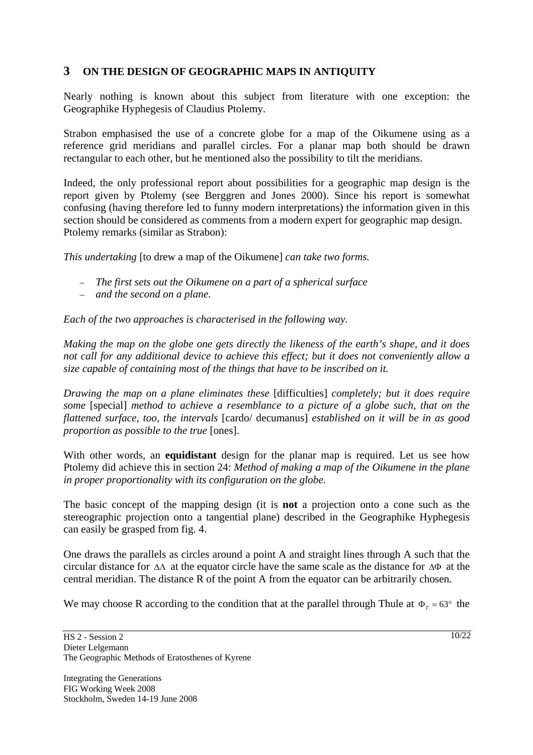# **3 ON THE DESIGN OF GEOGRAPHIC MAPS IN ANTIQUITY**

Nearly nothing is known about this subject from literature with one exception: the Geographike Hyphegesis of Claudius Ptolemy.

Strabon emphasised the use of a concrete globe for a map of the Oikumene using as a reference grid meridians and parallel circles. For a planar map both should be drawn rectangular to each other, but he mentioned also the possibility to tilt the meridians.

Indeed, the only professional report about possibilities for a geographic map design is the report given by Ptolemy (see Berggren and Jones 2000). Since his report is somewhat confusing (having therefore led to funny modern interpretations) the information given in this section should be considered as comments from a modern expert for geographic map design. Ptolemy remarks (similar as Strabon):

*This undertaking* [to drew a map of the Oikumene] *can take two forms.* 

- − *The first sets out the Oikumene on a part of a spherical surface*
- − *and the second on a plane.*

*Each of the two approaches is characterised in the following way.* 

*Making the map on the globe one gets directly the likeness of the earth's shape, and it does not call for any additional device to achieve this effect; but it does not conveniently allow a size capable of containing most of the things that have to be inscribed on it.* 

*Drawing the map on a plane eliminates these* [difficulties] *completely; but it does require some* [special] *method to achieve a resemblance to a picture of a globe such, that on the flattened surface, too, the intervals* [cardo/ decumanus] *established on it will be in as good proportion as possible to the true* [ones].

With other words, an **equidistant** design for the planar map is required. Let us see how Ptolemy did achieve this in section 24: *Method of making a map of the Oikumene in the plane in proper proportionality with its configuration on the globe.* 

The basic concept of the mapping design (it is **not** a projection onto a cone such as the stereographic projection onto a tangential plane) described in the Geographike Hyphegesis can easily be grasped from fig. 4.

One draws the parallels as circles around a point A and straight lines through A such that the circular distance for ΔΛ at the equator circle have the same scale as the distance for ΔΦ at the central meridian. The distance R of the point A from the equator can be arbitrarily chosen.

We may choose R according to the condition that at the parallel through Thule at  $\Phi_{\tau} = 63^{\circ}$  the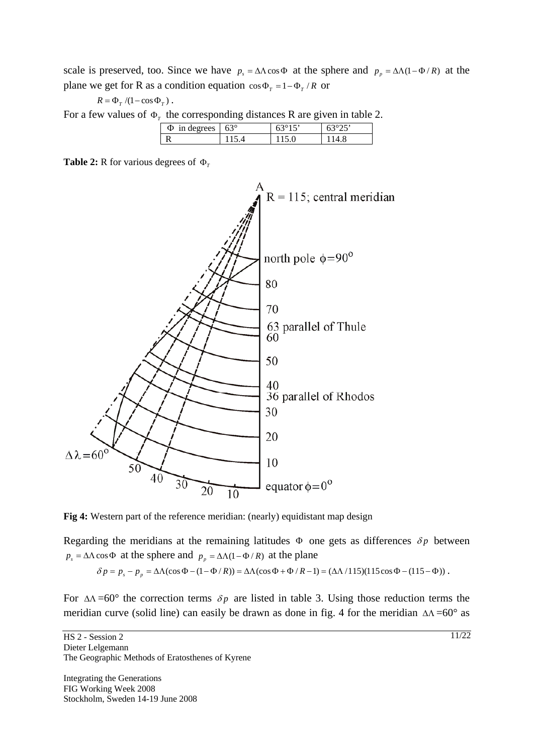scale is preserved, too. Since we have  $p_s = \Delta \Lambda \cos \Phi$  at the sphere and  $p_p = \Delta \Lambda (1 - \Phi / R)$  at the plane we get for R as a condition equation  $\cos \Phi_T = 1 - \Phi_T / R$  or

$$
R = \Phi_{_T} / (1 - \cos \Phi_{_T})
$$
 .

For a few values of  $\Phi_{\tau}$  the corresponding distances R are given in table 2.

| . . | $\overline{\phantom{a}}$ | _  | -   |     |
|-----|--------------------------|----|-----|-----|
|     | Φ<br>rrees               | 63 | - - | - - |
|     |                          |    |     |     |

**Table 2: R** for various degrees of  $\Phi$ <sup>r</sup>





Regarding the meridians at the remaining latitudes  $\Phi$  one gets as differences  $\delta p$  between  $p_s = \Delta \Lambda \cos \Phi$  at the sphere and  $p_p = \Delta \Lambda (1 - \Phi / R)$  at the plane

$$
\delta p = p_s - p_p = \Delta\Lambda(\cos\Phi - (1 - \Phi/R)) = \Delta\Lambda(\cos\Phi + \Phi/R - 1) = (\Delta\Lambda/115)(115\cos\Phi - (115 - \Phi))
$$

For  $\Delta\Lambda$  =60° the correction terms  $\delta p$  are listed in table 3. Using those reduction terms the meridian curve (solid line) can easily be drawn as done in fig. 4 for the meridian  $\Delta\Lambda = 60^{\circ}$  as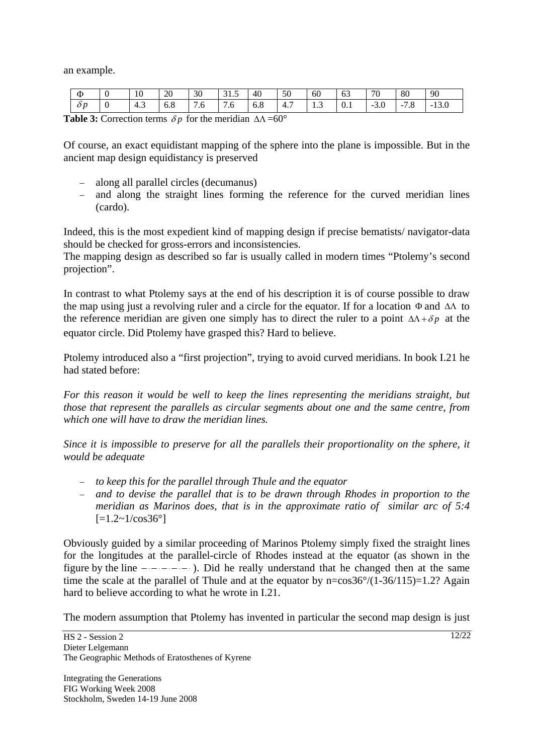an example.

| Ф          |     | 10  | 20           | 30       | 31.5 | 40       | 50  | 60  | 63  | 70     | 80     | 90      |
|------------|-----|-----|--------------|----------|------|----------|-----|-----|-----|--------|--------|---------|
| $\delta p$ | - 0 | 4.3 | 6.8          | 7.6      | 7.6  | 6.8      | 4.7 | 1.3 | 0.1 | $-3.0$ | $-7.8$ | $-13.0$ |
|            |     |     | $\mathbf{r}$ | $\sim$ 1 | .    | $\cdots$ |     |     |     |        |        |         |

**Table 3:** Correction terms  $\delta p$  for the meridian  $\Delta \Lambda = 60^{\circ}$ 

Of course, an exact equidistant mapping of the sphere into the plane is impossible. But in the ancient map design equidistancy is preserved

- − along all parallel circles (decumanus)
- − and along the straight lines forming the reference for the curved meridian lines (cardo).

Indeed, this is the most expedient kind of mapping design if precise bematists/ navigator-data should be checked for gross-errors and inconsistencies.

The mapping design as described so far is usually called in modern times "Ptolemy's second projection".

In contrast to what Ptolemy says at the end of his description it is of course possible to draw the map using just a revolving ruler and a circle for the equator. If for a location Φ and ΔΛ to the reference meridian are given one simply has to direct the ruler to a point  $\Delta\Lambda + \delta p$  at the equator circle. Did Ptolemy have grasped this? Hard to believe.

Ptolemy introduced also a "first projection", trying to avoid curved meridians. In book I.21 he had stated before:

*For this reason it would be well to keep the lines representing the meridians straight, but those that represent the parallels as circular segments about one and the same centre, from which one will have to draw the meridian lines.* 

*Since it is impossible to preserve for all the parallels their proportionality on the sphere, it would be adequate* 

- − *to keep this for the parallel through Thule and the equator*
- − *and to devise the parallel that is to be drawn through Rhodes in proportion to the meridian as Marinos does, that is in the approximate ratio of similar arc of 5:4*   $[-1.2 \sim 1/\cos 36^\circ]$

Obviously guided by a similar proceeding of Marinos Ptolemy simply fixed the straight lines for the longitudes at the parallel-circle of Rhodes instead at the equator (as shown in the figure by the line  $-\cdots$ . Did he really understand that he changed then at the same time the scale at the parallel of Thule and at the equator by  $n = cos 36^\circ/(1-36/115) = 1.2$ ? Again hard to believe according to what he wrote in I.21.

The modern assumption that Ptolemy has invented in particular the second map design is just

 $12/22$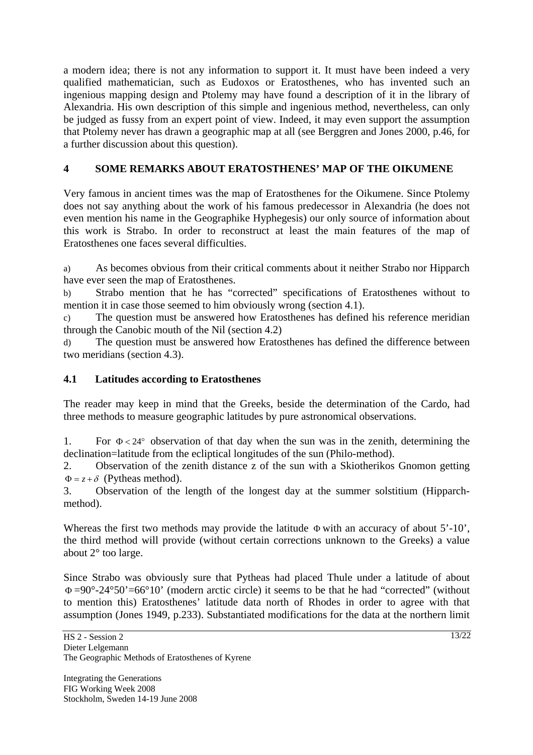a modern idea; there is not any information to support it. It must have been indeed a very qualified mathematician, such as Eudoxos or Eratosthenes, who has invented such an ingenious mapping design and Ptolemy may have found a description of it in the library of Alexandria. His own description of this simple and ingenious method, nevertheless, can only be judged as fussy from an expert point of view. Indeed, it may even support the assumption that Ptolemy never has drawn a geographic map at all (see Berggren and Jones 2000, p.46, for a further discussion about this question).

# **4 SOME REMARKS ABOUT ERATOSTHENES' MAP OF THE OIKUMENE**

Very famous in ancient times was the map of Eratosthenes for the Oikumene. Since Ptolemy does not say anything about the work of his famous predecessor in Alexandria (he does not even mention his name in the Geographike Hyphegesis) our only source of information about this work is Strabo. In order to reconstruct at least the main features of the map of Eratosthenes one faces several difficulties.

a) As becomes obvious from their critical comments about it neither Strabo nor Hipparch have ever seen the map of Eratosthenes.

b) Strabo mention that he has "corrected" specifications of Eratosthenes without to mention it in case those seemed to him obviously wrong (section 4.1).

c) The question must be answered how Eratosthenes has defined his reference meridian through the Canobic mouth of the Nil (section 4.2)

d) The question must be answered how Eratosthenes has defined the difference between two meridians (section 4.3).

# **4.1 Latitudes according to Eratosthenes**

The reader may keep in mind that the Greeks, beside the determination of the Cardo, had three methods to measure geographic latitudes by pure astronomical observations.

1. For  $\Phi < 24^{\circ}$  observation of that day when the sun was in the zenith, determining the declination=latitude from the ecliptical longitudes of the sun (Philo-method).

2. Observation of the zenith distance z of the sun with a Skiotherikos Gnomon getting  $\Phi = z + \delta$  (Pytheas method).

3. Observation of the length of the longest day at the summer solstitium (Hipparchmethod).

Whereas the first two methods may provide the latitude Φ with an accuracy of about 5'-10', the third method will provide (without certain corrections unknown to the Greeks) a value about 2° too large.

Since Strabo was obviously sure that Pytheas had placed Thule under a latitude of about  $\Phi = 90^{\circ} - 24^{\circ}50' = 66^{\circ}10'$  (modern arctic circle) it seems to be that he had "corrected" (without to mention this) Eratosthenes' latitude data north of Rhodes in order to agree with that assumption (Jones 1949, p.233). Substantiated modifications for the data at the northern limit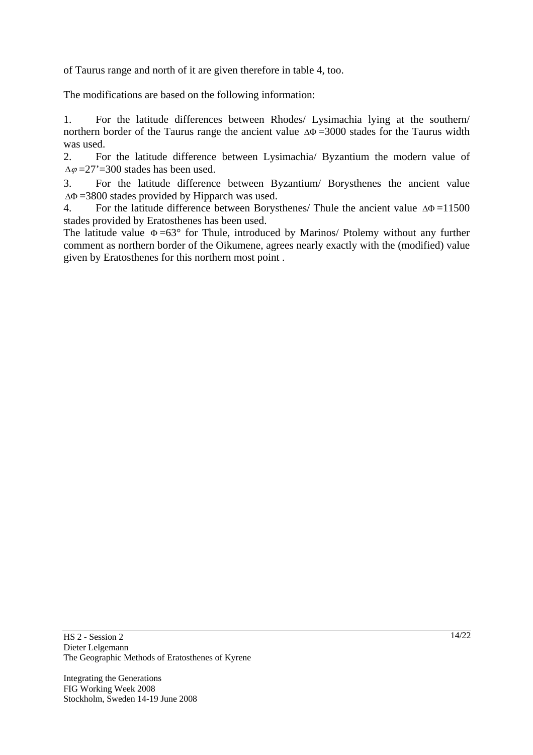of Taurus range and north of it are given therefore in table 4, too.

The modifications are based on the following information:

1. For the latitude differences between Rhodes/ Lysimachia lying at the southern/ northern border of the Taurus range the ancient value  $\Delta\Phi$  =3000 stades for the Taurus width was used.

2. For the latitude difference between Lysimachia/ Byzantium the modern value of  $\Delta\varphi = 27' = 300$  stades has been used.

3. For the latitude difference between Byzantium/ Borysthenes the ancient value ΔΦ =3800 stades provided by Hipparch was used.

4. For the latitude difference between Borysthenes/ Thule the ancient value  $\Delta \Phi = 11500$ stades provided by Eratosthenes has been used.

The latitude value  $\Phi = 63^{\circ}$  for Thule, introduced by Marinos/ Ptolemy without any further comment as northern border of the Oikumene, agrees nearly exactly with the (modified) value given by Eratosthenes for this northern most point .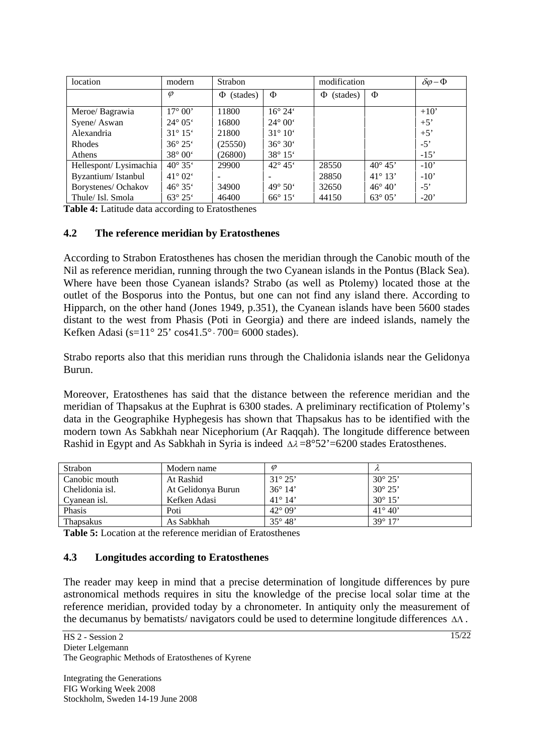| location              | modern                  | <b>Strabon</b> |                         | modification  |                  | $\delta \varphi - \Phi$ |
|-----------------------|-------------------------|----------------|-------------------------|---------------|------------------|-------------------------|
|                       | $\varphi$               | (stades)<br>Ф  | Φ                       | (stades)<br>Φ | Φ                |                         |
| Meroe/ Bagrawia       | $17^{\circ} 00'$        | 11800          | $16^{\circ} 24^{\circ}$ |               |                  | $+10'$                  |
| Syene/ Aswan          | $24^{\circ} 05^{\circ}$ | 16800          | $24^{\circ} 00'$        |               |                  | $+5'$                   |
| Alexandria            | $31^{\circ} 15^{\circ}$ | 21800          | $31^{\circ} 10^{\circ}$ |               |                  | $+5'$                   |
| Rhodes                | $36^{\circ} 25^{\circ}$ | (25550)        | $36^{\circ} 30^{\circ}$ |               |                  | $-5'$                   |
| Athens                | $38^{\circ} 00^{\circ}$ | (26800)        | $38^{\circ} 15'$        |               |                  | $-15'$                  |
| Hellespont/Lysimachia | $40^{\circ} 35'$        | 29900          | $42^{\circ} 45^{\circ}$ | 28550         | $40^{\circ} 45'$ | $-10'$                  |
| Byzantium/Istanbul    | $41^{\circ} 02^{\circ}$ |                |                         | 28850         | $41^{\circ} 13'$ | $-10'$                  |
| Borystenes/ Ochakov   | $46^{\circ} 35^{\circ}$ | 34900          | $49^{\circ} 50^{\circ}$ | 32650         | $46^{\circ} 40'$ | $-5'$                   |
| Thule/ Isl. Smola     | $63^{\circ} 25^{\circ}$ | 46400          | $66^{\circ} 15^{\circ}$ | 44150         | $63^{\circ}05'$  | $-20'$                  |

**Table 4:** Latitude data according to Eratosthenes

#### **4.2 The reference meridian by Eratosthenes**

According to Strabon Eratosthenes has chosen the meridian through the Canobic mouth of the Nil as reference meridian, running through the two Cyanean islands in the Pontus (Black Sea). Where have been those Cyanean islands? Strabo (as well as Ptolemy) located those at the outlet of the Bosporus into the Pontus, but one can not find any island there. According to Hipparch, on the other hand (Jones 1949, p.351), the Cyanean islands have been 5600 stades distant to the west from Phasis (Poti in Georgia) and there are indeed islands, namely the Kefken Adasi (s= $11^{\circ} 25'$  cos $41.5^{\circ} \cdot 700 = 6000$  stades).

Strabo reports also that this meridian runs through the Chalidonia islands near the Gelidonya Burun.

Moreover, Eratosthenes has said that the distance between the reference meridian and the meridian of Thapsakus at the Euphrat is 6300 stades. A preliminary rectification of Ptolemy's data in the Geographike Hyphegesis has shown that Thapsakus has to be identified with the modern town As Sabkhah near Nicephorium (Ar Raqqah). The longitude difference between Rashid in Egypt and As Sabkhah in Syria is indeed  $\Delta \lambda = 8^{\circ}52' = 6200$  stades Eratosthenes.

| Strabon          | Modern name        | $\varnothing$    |                  |
|------------------|--------------------|------------------|------------------|
| Canobic mouth    | At Rashid          | $31^{\circ} 25'$ | $30^{\circ} 25'$ |
| Chelidonia isl.  | At Gelidonya Burun | $36^{\circ} 14'$ | $30^{\circ} 25'$ |
| Cyanean isl.     | Kefken Adasi       | $41^{\circ} 14'$ | $30^{\circ} 15'$ |
| Phasis           | Poti               | $42^{\circ}$ 09' | $41^{\circ} 40'$ |
| <b>Thapsakus</b> | As Sabkhah         | $35^{\circ} 48'$ | $39^{\circ} 17'$ |

**Table 5:** Location at the reference meridian of Eratosthenes

#### **4.3 Longitudes according to Eratosthenes**

The reader may keep in mind that a precise determination of longitude differences by pure astronomical methods requires in situ the knowledge of the precise local solar time at the reference meridian, provided today by a chronometer. In antiquity only the measurement of the decumanus by bematists/ navigators could be used to determine longitude differences ΔΛ .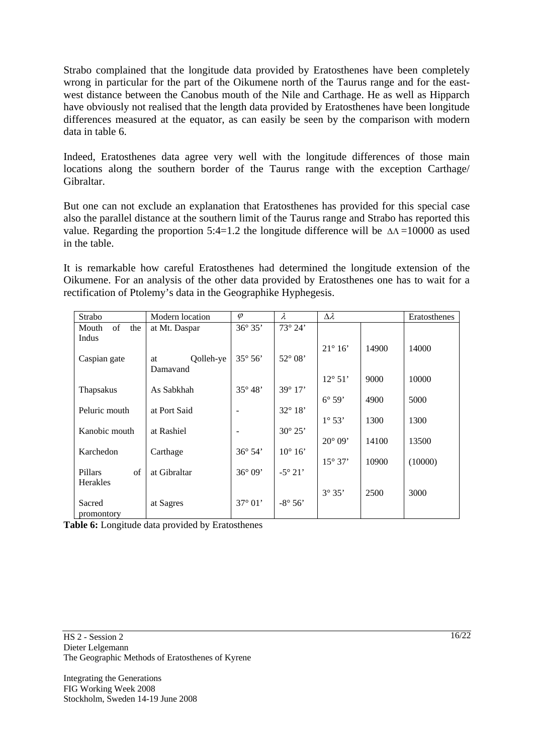Strabo complained that the longitude data provided by Eratosthenes have been completely wrong in particular for the part of the Oikumene north of the Taurus range and for the eastwest distance between the Canobus mouth of the Nile and Carthage. He as well as Hipparch have obviously not realised that the length data provided by Eratosthenes have been longitude differences measured at the equator, as can easily be seen by the comparison with modern data in table 6.

Indeed, Eratosthenes data agree very well with the longitude differences of those main locations along the southern border of the Taurus range with the exception Carthage/ Gibraltar.

But one can not exclude an explanation that Eratosthenes has provided for this special case also the parallel distance at the southern limit of the Taurus range and Strabo has reported this value. Regarding the proportion 5:4=1.2 the longitude difference will be  $\Delta\Lambda = 10000$  as used in the table.

It is remarkable how careful Eratosthenes had determined the longitude extension of the Oikumene. For an analysis of the other data provided by Eratosthenes one has to wait for a rectification of Ptolemy's data in the Geographike Hyphegesis.

| Strabo                | Modern location | $\varphi$        | $\lambda$        | $\Delta \lambda$ |       | Eratosthenes |
|-----------------------|-----------------|------------------|------------------|------------------|-------|--------------|
| of<br>the<br>Mouth    | at Mt. Daspar   | $36^{\circ} 35'$ | 73° 24'          |                  |       |              |
| Indus                 |                 |                  |                  |                  |       |              |
|                       |                 |                  |                  | $21^\circ 16'$   | 14900 | 14000        |
| Caspian gate          | Qolleh-ye<br>at | $35^\circ 56'$   | 52° 08'          |                  |       |              |
|                       | Damayand        |                  |                  |                  |       |              |
|                       |                 |                  |                  | $12^{\circ} 51'$ | 9000  | 10000        |
| Thapsakus             | As Sabkhah      | $35^\circ 48'$   | 39° 17'          |                  |       |              |
|                       |                 |                  |                  | $6^\circ 59'$    | 4900  | 5000         |
| Peluric mouth         | at Port Said    |                  | 32° 18'          |                  |       |              |
| Kanobic mouth         | at Rashiel      |                  | $30^{\circ} 25'$ | $1^{\circ} 53'$  | 1300  | 1300         |
|                       |                 |                  |                  | $20^{\circ} 09'$ | 14100 | 13500        |
| Karchedon             | Carthage        | 36° 54'          | $10^{\circ} 16'$ |                  |       |              |
|                       |                 |                  |                  | $15^{\circ} 37'$ | 10900 | (10000)      |
| $\sigma$ f<br>Pillars | at Gibraltar    | $36^{\circ} 09'$ | $-5^{\circ} 21'$ |                  |       |              |
| Herakles              |                 |                  |                  |                  |       |              |
|                       |                 |                  |                  | 3°35'            | 2500  | 3000         |
| Sacred                | at Sagres       | 37° 01'          | $-8^{\circ} 56'$ |                  |       |              |
| promontory            |                 |                  |                  |                  |       |              |

**Table 6:** Longitude data provided by Eratosthenes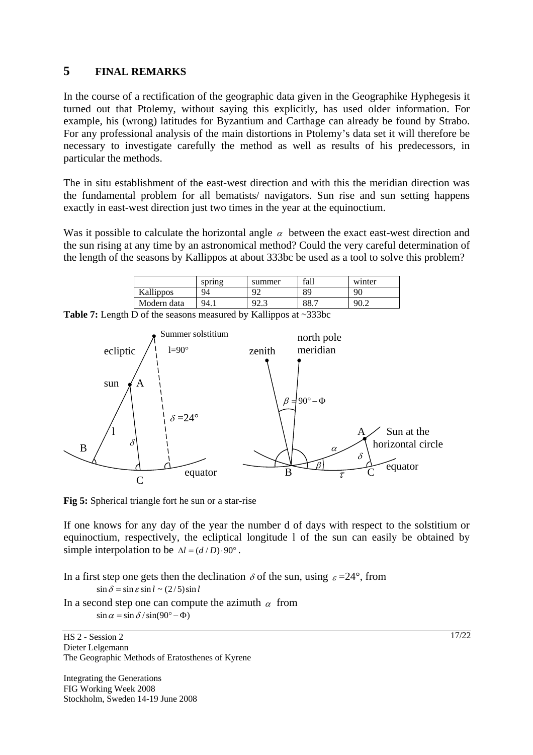# **5 FINAL REMARKS**

In the course of a rectification of the geographic data given in the Geographike Hyphegesis it turned out that Ptolemy, without saying this explicitly, has used older information. For example, his (wrong) latitudes for Byzantium and Carthage can already be found by Strabo. For any professional analysis of the main distortions in Ptolemy's data set it will therefore be necessary to investigate carefully the method as well as results of his predecessors, in particular the methods.

The in situ establishment of the east-west direction and with this the meridian direction was the fundamental problem for all bematists/ navigators. Sun rise and sun setting happens exactly in east-west direction just two times in the year at the equinoctium.

Was it possible to calculate the horizontal angle  $\alpha$  between the exact east-west direction and the sun rising at any time by an astronomical method? Could the very careful determination of the length of the seasons by Kallippos at about 333bc be used as a tool to solve this problem?

| Kallippos<br>89<br>90<br>Q٥<br>94 | winter | fall | summer     | spring |             |
|-----------------------------------|--------|------|------------|--------|-------------|
|                                   |        |      |            |        |             |
| د.ء                               | 90.2   | 88.7 | $92^\circ$ | 94.1   | Modern data |

**Table 7:** Length D of the seasons measured by Kallippos at ~333bc



**Fig 5:** Spherical triangle fort he sun or a star-rise

If one knows for any day of the year the number d of days with respect to the solstitium or equinoctium, respectively, the ecliptical longitude l of the sun can easily be obtained by simple interpolation to be  $\Delta l = (d/D) \cdot 90^\circ$ .

In a first step one gets then the declination  $\delta$  of the sun, using  $\varepsilon = 24^{\circ}$ , from

 $\sin \delta = \sin \epsilon \sin l \sim (2/5) \sin l$ 

In a second step one can compute the azimuth  $\alpha$  from  $\sin \alpha = \sin \delta / \sin(90^\circ - \Phi)$ 

HS 2 - Session 2 Dieter Lelgemann The Geographic Methods of Eratosthenes of Kyrene

Integrating the Generations FIG Working Week 2008 Stockholm, Sweden 14-19 June 2008  $17/22$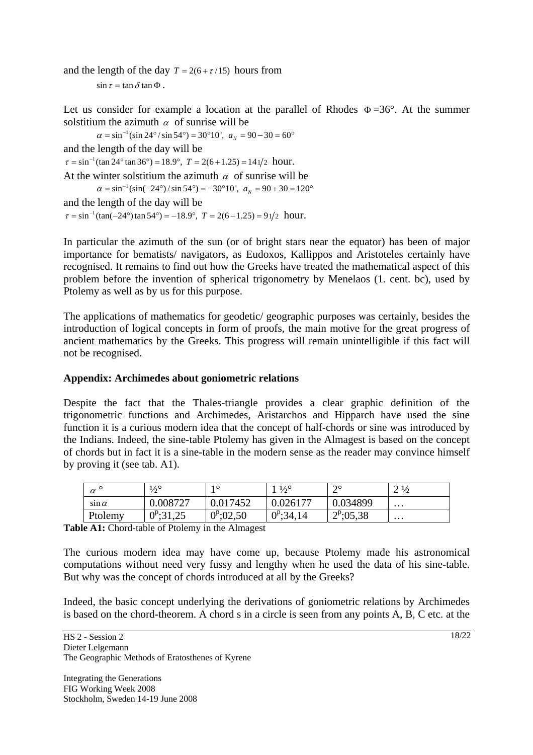and the length of the day  $T = 2(6 + \tau/15)$  hours from  $\sin \tau = \tan \delta \tan \Phi$ .

Let us consider for example a location at the parallel of Rhodes  $\Phi = 36^{\circ}$ . At the summer solstitium the azimuth  $\alpha$  of sunrise will be<br>  $\alpha = \sin^{-1} (\sin 24^\circ / \sin 54^\circ) = 30^\circ 10'$ ,  $a_y = 90 - 30 = 60^\circ$ 

and the length of the day will be<br>  $\tau = \sin^{-1}(\tan 24^\circ \tan 36^\circ) = 18.9^\circ$ ,  $T = 2(6 + 1.25) = 141/2$  hour. At the winter solstitium the azimuth  $\alpha$  of sunrise will be<br>  $\alpha = \sin^{-1}(\sin(-24^{\circ}) / \sin 54^{\circ}) = -30^{\circ}10'$ ,  $a_N = 90 + 30 = 120^{\circ}$ and the length of the day will be  $\tau = \sin^{-1}(\tan(-24^\circ) \tan 54^\circ) = -18.9^\circ$ ,  $T = 2(6 - 1.25) = 91/2$  hour.

In particular the azimuth of the sun (or of bright stars near the equator) has been of major importance for bematists/ navigators, as Eudoxos, Kallippos and Aristoteles certainly have recognised. It remains to find out how the Greeks have treated the mathematical aspect of this problem before the invention of spherical trigonometry by Menelaos (1. cent. bc), used by Ptolemy as well as by us for this purpose.

The applications of mathematics for geodetic/ geographic purposes was certainly, besides the introduction of logical concepts in form of proofs, the main motive for the great progress of ancient mathematics by the Greeks. This progress will remain unintelligible if this fact will not be recognised.

### **Appendix: Archimedes about goniometric relations**

Despite the fact that the Thales-triangle provides a clear graphic definition of the trigonometric functions and Archimedes, Aristarchos and Hipparch have used the sine function it is a curious modern idea that the concept of half-chords or sine was introduced by the Indians. Indeed, the sine-table Ptolemy has given in the Almagest is based on the concept of chords but in fact it is a sine-table in the modern sense as the reader may convince himself by proving it (see tab. A1).

| $\alpha$     | $\frac{1}{2}$                      | 10                 | $\frac{1}{2}^{\circ}$ | $\bigcap$<br>∸ | $2\frac{1}{2}$ |
|--------------|------------------------------------|--------------------|-----------------------|----------------|----------------|
| sin $\alpha$ | 0.008727                           | 0.017452           | 0.026177              | 0.034899       | $\cdots$       |
| Ptolemy      | $0^{p} \cdot 31.25$<br>ب∠دار,<br>v | $0^{\rm p}$ ;02,50 | $2^{p}$ ;34,14        | $2^p:05,38$    | $\cdots$       |

**Table A1:** Chord-table of Ptolemy in the Almagest

The curious modern idea may have come up, because Ptolemy made his astronomical computations without need very fussy and lengthy when he used the data of his sine-table. But why was the concept of chords introduced at all by the Greeks?

Indeed, the basic concept underlying the derivations of goniometric relations by Archimedes is based on the chord-theorem. A chord s in a circle is seen from any points A, B, C etc. at the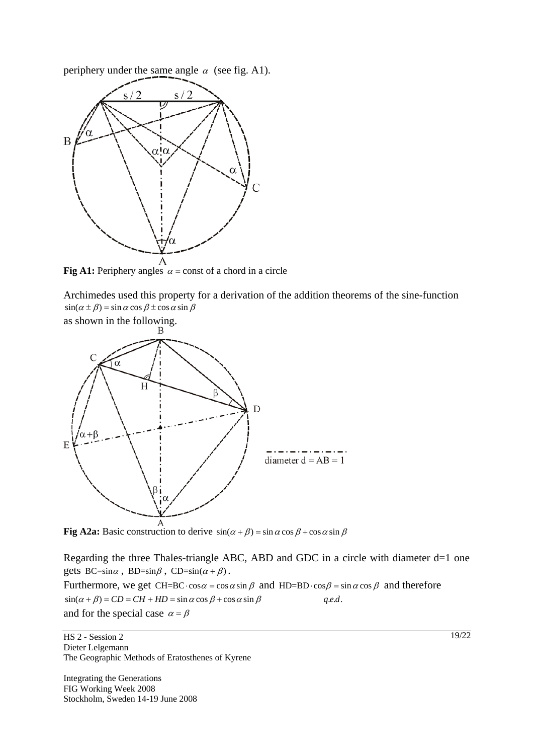periphery under the same angle  $\alpha$  (see fig. A1).



**Fig A1:** Periphery angles  $\alpha$  = const of a chord in a circle

Archimedes used this property for a derivation of the addition theorems of the sine-function  $sin(\alpha \pm \beta) = sin \alpha cos \beta \pm cos \alpha sin \beta$ 



**Fig A2a:** Basic construction to derive  $\sin(\alpha + \beta) = \sin \alpha \cos \beta + \cos \alpha \sin \beta$ 

Regarding the three Thales-triangle ABC, ABD and GDC in a circle with diameter d=1 one gets  $BC=sin\alpha$ ,  $BD=sin\beta$ ,  $CD=sin(\alpha + \beta)$ .

Furthermore, we get CH=BC $\cdot cos \alpha = cos \alpha sin \beta$  and HD=BD $\cdot cos \beta = sin \alpha cos \beta$  and therefore  $sin(\alpha + \beta) = CD = CH + HD = sin \alpha cos \beta + cos \alpha sin \beta$  *q.e.d.* and for the special case  $\alpha = \beta$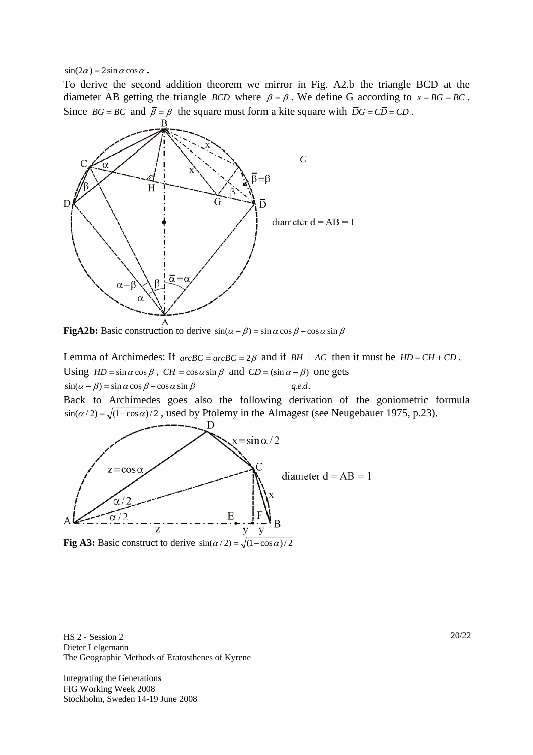$\sin(2\alpha) = 2\sin \alpha \cos \alpha$ .

To derive the second addition theorem we mirror in Fig. A2.b the triangle BCD at the diameter AB getting the triangle  $\overline{BCD}$  where  $\overline{\beta} = \beta$ . We define G according to  $x = BG = B\overline{C}$ . Since  $BG = B\overline{C}$  and  $\overline{\beta} = \beta$  the square must form a kite square with  $\overline{D}G = C\overline{D} = CD$ .



**FigA2b:** Basic construction to derive  $\sin(\alpha - \beta) = \sin \alpha \cos \beta - \cos \alpha \sin \beta$ 

Lemma of Archimedes: If  $arcB\overline{C} = arcB\overline{C} = 2\beta$  and if  $BH \perp AC$  then it must be  $H\overline{D} = CH + CD$ . Using  $H\overline{D} = \sin \alpha \cos \beta$ ,  $CH = \cos \alpha \sin \beta$  and  $CD = (\sin \alpha - \beta)$  one gets  $\sin(\alpha - \beta) = \sin \alpha \cos \beta - \cos \alpha \sin \beta$  *q.e.d.* 

Back to Archimedes goes also the following derivation of the goniometric formula  $\sin(\alpha/2) = \sqrt{(1 - \cos \alpha)/2}$ , used by Ptolemy in the Almagest (see Neugebauer 1975, p.23).



HS 2 - Session 2 Dieter Lelgemann The Geographic Methods of Eratosthenes of Kyrene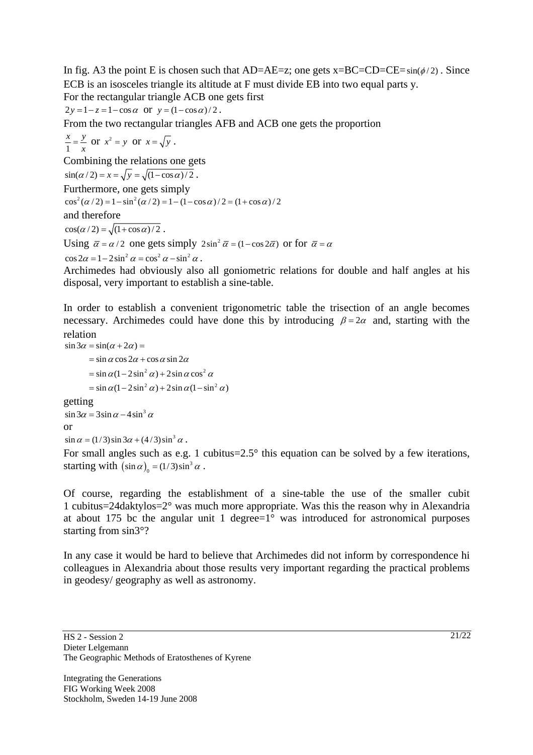In fig. A3 the point E is chosen such that AD=AE=z; one gets  $x=BC=CD=CE=sin(\phi/2)$ . Since ECB is an isosceles triangle its altitude at F must divide EB into two equal parts y. For the rectangular triangle ACB one gets first

 $2y = 1 - z = 1 - \cos \alpha$  or  $y = (1 - \cos \alpha)/2$ .

From the two rectangular triangles AFB and ACB one gets the proportion

1  $\frac{x}{1} = \frac{y}{x}$  or  $x^2 = y$  or  $x = \sqrt{y}$ . Combining the relations one gets  $\sin(\alpha/2) = x = \sqrt{y} = \sqrt{(1 - \cos \alpha)/2}$ . Furthermore, one gets simply<br>  $\cos^2(\alpha/2) = 1 - \sin^2(\alpha/2) = 1 - (1 - \cos \alpha)/2 = (1 + \cos \alpha)/2$ and therefore  $\cos(\alpha/2) = \sqrt{\left(1 + \cos \alpha\right)/2}$ . Using  $\bar{\alpha} = \alpha/2$  one gets simply  $2\sin^2 \bar{\alpha} = (1 - \cos 2\bar{\alpha})$  or for  $\bar{\alpha} = \alpha$ 

 $\cos 2\alpha = 1 - 2\sin^2 \alpha = \cos^2 \alpha - \sin^2 \alpha$ .

Archimedes had obviously also all goniometric relations for double and half angles at his disposal, very important to establish a sine-table.

In order to establish a convenient trigonometric table the trisection of an angle becomes necessary. Archimedes could have done this by introducing  $\beta = 2\alpha$  and, starting with the relation

```
= \sin \alpha (1 - 2\sin^2 \alpha) + 2\sin \alpha \cos^2 \alpha= \sin \alpha (1 - 2\sin^2 \alpha) + 2\sin \alpha (1 - \sin^2 \alpha)\sin 3\alpha = \sin(\alpha + 2\alpha) == \sin \alpha \cos 2\alpha + \cos \alpha \sin 2\alphagetting<br>\sin 3\alpha = 3\sin \alpha - 4\sin^3 \alphaor<br>
\sin \alpha = (1/3) \sin 3\alpha + (4/3) \sin^3 \alpha.
```
For small angles such as e.g. 1 cubitus= $2.5^\circ$  this equation can be solved by a few iterations, starting with  $(\sin \alpha)_0 = (1/3) \sin^3 \alpha$ .

Of course, regarding the establishment of a sine-table the use of the smaller cubit 1 cubitus=24daktylos=2° was much more appropriate. Was this the reason why in Alexandria at about 175 bc the angular unit 1 degree= $1^\circ$  was introduced for astronomical purposes starting from sin3°?

In any case it would be hard to believe that Archimedes did not inform by correspondence hi colleagues in Alexandria about those results very important regarding the practical problems in geodesy/ geography as well as astronomy.